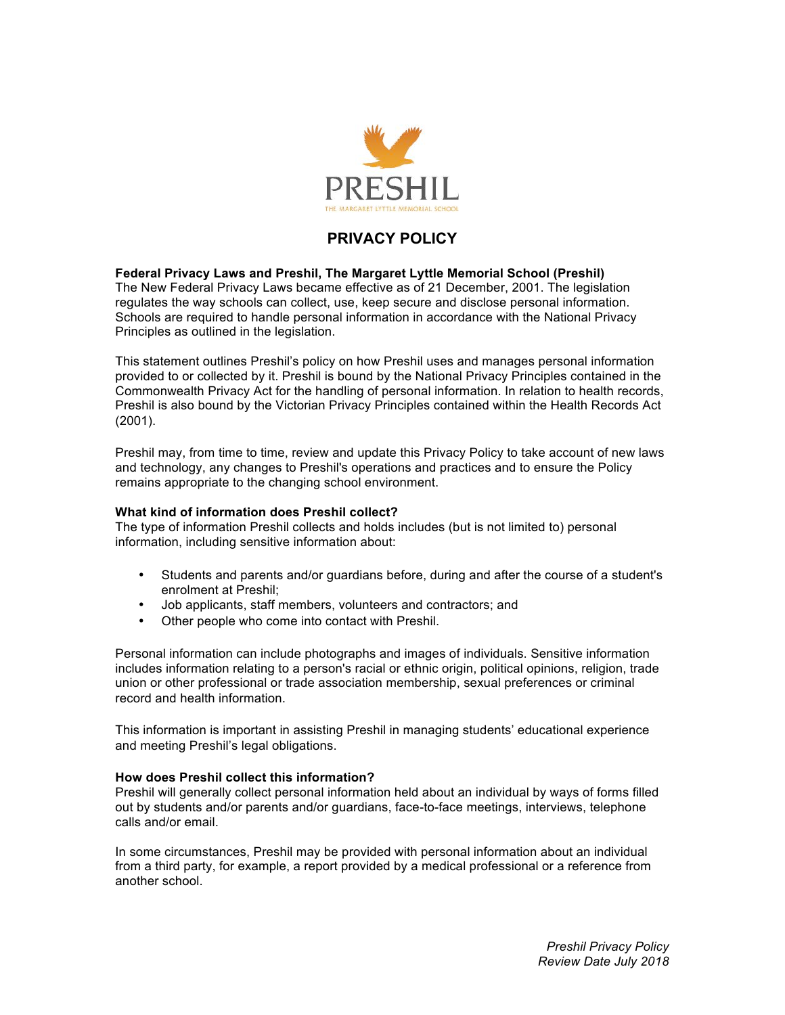

# **PRIVACY POLICY**

**Federal Privacy Laws and Preshil, The Margaret Lyttle Memorial School (Preshil)** The New Federal Privacy Laws became effective as of 21 December, 2001. The legislation regulates the way schools can collect, use, keep secure and disclose personal information. Schools are required to handle personal information in accordance with the National Privacy Principles as outlined in the legislation.

This statement outlines Preshil's policy on how Preshil uses and manages personal information provided to or collected by it. Preshil is bound by the National Privacy Principles contained in the Commonwealth Privacy Act for the handling of personal information. In relation to health records, Preshil is also bound by the Victorian Privacy Principles contained within the Health Records Act (2001).

Preshil may, from time to time, review and update this Privacy Policy to take account of new laws and technology, any changes to Preshil's operations and practices and to ensure the Policy remains appropriate to the changing school environment.

### **What kind of information does Preshil collect?**

The type of information Preshil collects and holds includes (but is not limited to) personal information, including sensitive information about:

- Students and parents and/or guardians before, during and after the course of a student's enrolment at Preshil;
- Job applicants, staff members, volunteers and contractors; and
- Other people who come into contact with Preshil.

Personal information can include photographs and images of individuals. Sensitive information includes information relating to a person's racial or ethnic origin, political opinions, religion, trade union or other professional or trade association membership, sexual preferences or criminal record and health information.

This information is important in assisting Preshil in managing students' educational experience and meeting Preshil's legal obligations.

### **How does Preshil collect this information?**

Preshil will generally collect personal information held about an individual by ways of forms filled out by students and/or parents and/or guardians, face-to-face meetings, interviews, telephone calls and/or email.

In some circumstances, Preshil may be provided with personal information about an individual from a third party, for example, a report provided by a medical professional or a reference from another school.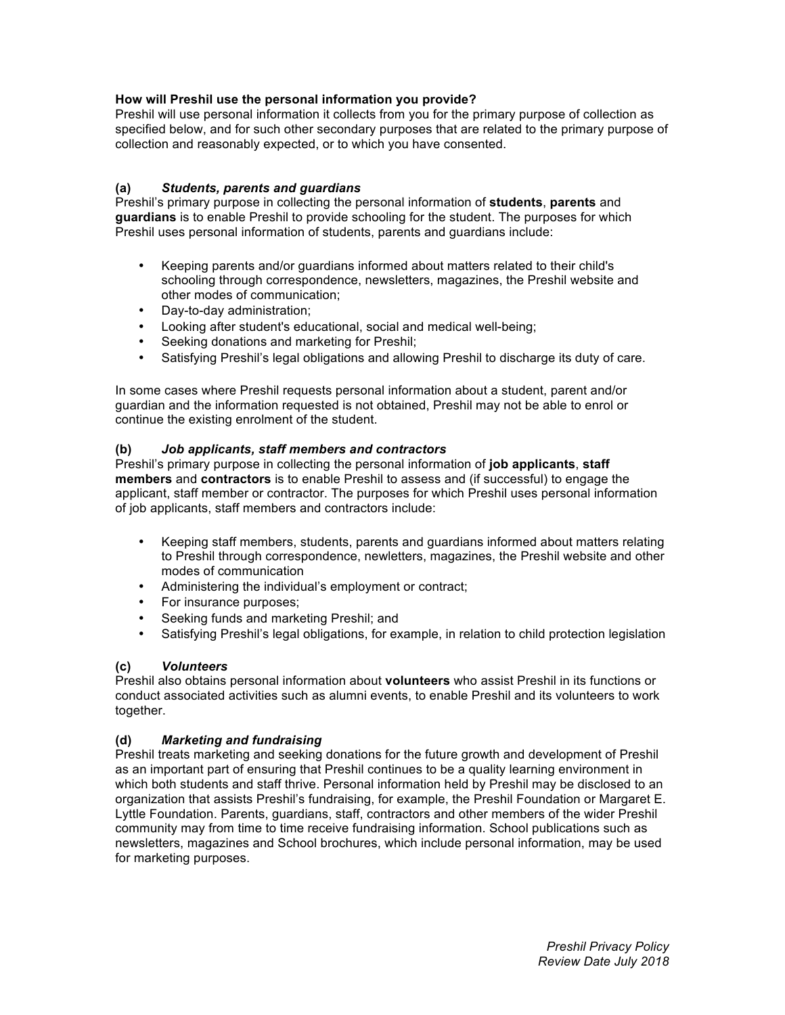# **How will Preshil use the personal information you provide?**

Preshil will use personal information it collects from you for the primary purpose of collection as specified below, and for such other secondary purposes that are related to the primary purpose of collection and reasonably expected, or to which you have consented.

# **(a)** *Students, parents and guardians*

Preshil's primary purpose in collecting the personal information of **students**, **parents** and **guardians** is to enable Preshil to provide schooling for the student. The purposes for which Preshil uses personal information of students, parents and guardians include:

- Keeping parents and/or guardians informed about matters related to their child's schooling through correspondence, newsletters, magazines, the Preshil website and other modes of communication;
- Day-to-day administration;
- Looking after student's educational, social and medical well-being;
- Seeking donations and marketing for Preshil;
- Satisfying Preshil's legal obligations and allowing Preshil to discharge its duty of care.

In some cases where Preshil requests personal information about a student, parent and/or guardian and the information requested is not obtained, Preshil may not be able to enrol or continue the existing enrolment of the student.

### **(b)** *Job applicants, staff members and contractors*

Preshil's primary purpose in collecting the personal information of **job applicants**, **staff members** and **contractors** is to enable Preshil to assess and (if successful) to engage the applicant, staff member or contractor. The purposes for which Preshil uses personal information of job applicants, staff members and contractors include:

- Keeping staff members, students, parents and guardians informed about matters relating to Preshil through correspondence, newletters, magazines, the Preshil website and other modes of communication
- Administering the individual's employment or contract;
- For insurance purposes;
- Seeking funds and marketing Preshil; and
- Satisfying Preshil's legal obligations, for example, in relation to child protection legislation

### **(c)** *Volunteers*

Preshil also obtains personal information about **volunteers** who assist Preshil in its functions or conduct associated activities such as alumni events, to enable Preshil and its volunteers to work together.

# **(d)** *Marketing and fundraising*

Preshil treats marketing and seeking donations for the future growth and development of Preshil as an important part of ensuring that Preshil continues to be a quality learning environment in which both students and staff thrive. Personal information held by Preshil may be disclosed to an organization that assists Preshil's fundraising, for example, the Preshil Foundation or Margaret E. Lyttle Foundation. Parents, guardians, staff, contractors and other members of the wider Preshil community may from time to time receive fundraising information. School publications such as newsletters, magazines and School brochures, which include personal information, may be used for marketing purposes.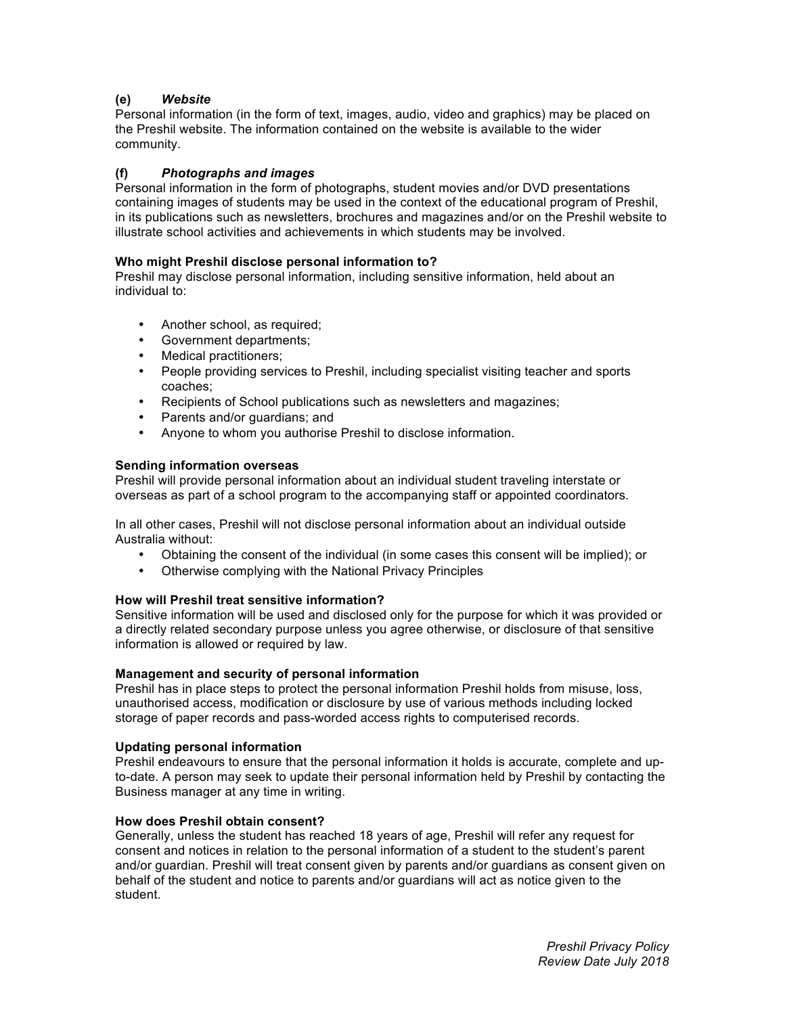# **(e)** *Website*

Personal information (in the form of text, images, audio, video and graphics) may be placed on the Preshil website. The information contained on the website is available to the wider community.

# **(f)** *Photographs and images*

Personal information in the form of photographs, student movies and/or DVD presentations containing images of students may be used in the context of the educational program of Preshil, in its publications such as newsletters, brochures and magazines and/or on the Preshil website to illustrate school activities and achievements in which students may be involved.

# **Who might Preshil disclose personal information to?**

Preshil may disclose personal information, including sensitive information, held about an individual to:

- Another school, as required;
- Government departments;
- Medical practitioners;
- People providing services to Preshil, including specialist visiting teacher and sports coaches;
- Recipients of School publications such as newsletters and magazines;
- Parents and/or guardians; and
- Anyone to whom you authorise Preshil to disclose information.

## **Sending information overseas**

Preshil will provide personal information about an individual student traveling interstate or overseas as part of a school program to the accompanying staff or appointed coordinators.

In all other cases, Preshil will not disclose personal information about an individual outside Australia without:

- Obtaining the consent of the individual (in some cases this consent will be implied); or <br>• Otherwise complying with the National Privacy Principles
- Otherwise complying with the National Privacy Principles

### **How will Preshil treat sensitive information?**

Sensitive information will be used and disclosed only for the purpose for which it was provided or a directly related secondary purpose unless you agree otherwise, or disclosure of that sensitive information is allowed or required by law.

## **Management and security of personal information**

Preshil has in place steps to protect the personal information Preshil holds from misuse, loss, unauthorised access, modification or disclosure by use of various methods including locked storage of paper records and pass-worded access rights to computerised records.

### **Updating personal information**

Preshil endeavours to ensure that the personal information it holds is accurate, complete and upto-date. A person may seek to update their personal information held by Preshil by contacting the Business manager at any time in writing.

### **How does Preshil obtain consent?**

Generally, unless the student has reached 18 years of age, Preshil will refer any request for consent and notices in relation to the personal information of a student to the student's parent and/or guardian. Preshil will treat consent given by parents and/or guardians as consent given on behalf of the student and notice to parents and/or guardians will act as notice given to the student.